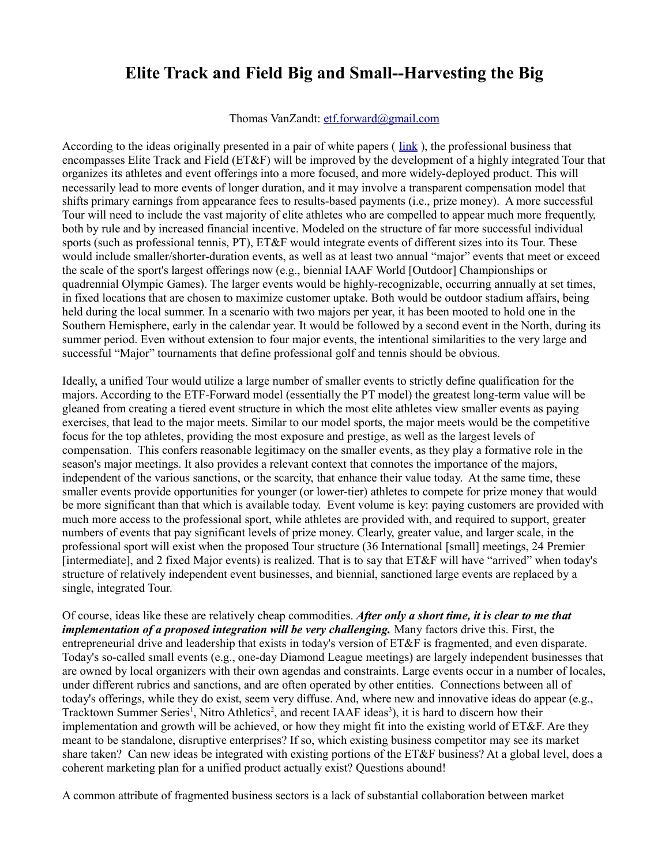# **Elite Track and Field Big and Small--Harvesting the Big**

# Thomas VanZandt: [etf.forward@gmail.com](mailto:etf.forward@gmail.com)

According to the ideas originally presented in a pair of white papers ( [link](https://etf-forward.blog/white-papers/) ), the professional business that encompasses Elite Track and Field (ET&F) will be improved by the development of a highly integrated Tour that organizes its athletes and event offerings into a more focused, and more widely-deployed product. This will necessarily lead to more events of longer duration, and it may involve a transparent compensation model that shifts primary earnings from appearance fees to results-based payments (i.e., prize money). A more successful Tour will need to include the vast majority of elite athletes who are compelled to appear much more frequently, both by rule and by increased financial incentive. Modeled on the structure of far more successful individual sports (such as professional tennis, PT), ET&F would integrate events of different sizes into its Tour. These would include smaller/shorter-duration events, as well as at least two annual "major" events that meet or exceed the scale of the sport's largest offerings now (e.g., biennial IAAF World [Outdoor] Championships or quadrennial Olympic Games). The larger events would be highly-recognizable, occurring annually at set times, in fixed locations that are chosen to maximize customer uptake. Both would be outdoor stadium affairs, being held during the local summer. In a scenario with two majors per year, it has been mooted to hold one in the Southern Hemisphere, early in the calendar year. It would be followed by a second event in the North, during its summer period. Even without extension to four major events, the intentional similarities to the very large and successful "Major" tournaments that define professional golf and tennis should be obvious.

Ideally, a unified Tour would utilize a large number of smaller events to strictly define qualification for the majors. According to the ETF-Forward model (essentially the PT model) the greatest long-term value will be gleaned from creating a tiered event structure in which the most elite athletes view smaller events as paying exercises, that lead to the major meets. Similar to our model sports, the major meets would be the competitive focus for the top athletes, providing the most exposure and prestige, as well as the largest levels of compensation. This confers reasonable legitimacy on the smaller events, as they play a formative role in the season's major meetings. It also provides a relevant context that connotes the importance of the majors, independent of the various sanctions, or the scarcity, that enhance their value today. At the same time, these smaller events provide opportunities for younger (or lower-tier) athletes to compete for prize money that would be more significant than that which is available today. Event volume is key: paying customers are provided with much more access to the professional sport, while athletes are provided with, and required to support, greater numbers of events that pay significant levels of prize money. Clearly, greater value, and larger scale, in the professional sport will exist when the proposed Tour structure (36 International [small] meetings, 24 Premier [intermediate], and 2 fixed Major events) is realized. That is to say that ET&F will have "arrived" when today's structure of relatively independent event businesses, and biennial, sanctioned large events are replaced by a single, integrated Tour.

Of course, ideas like these are relatively cheap commodities. *After only a short time, it is clear to me that implementation of a proposed integration will be very challenging.* Many factors drive this. First, the entrepreneurial drive and leadership that exists in today's version of ET&F is fragmented, and even disparate. Today's so-called small events (e.g., one-day Diamond League meetings) are largely independent businesses that are owned by local organizers with their own agendas and constraints. Large events occur in a number of locales, under different rubrics and sanctions, and are often operated by other entities. Connections between all of today's offerings, while they do exist, seem very diffuse. And, where new and innovative ideas do appear (e.g., Tracktown Summer Series<sup>[1](#page-7-0)</sup>, Nitro Athletics<sup>[2](#page-7-1)</sup>, and recent IAAF ideas<sup>[3](#page-7-2)</sup>), it is hard to discern how their implementation and growth will be achieved, or how they might fit into the existing world of  $ET&E$ . Are they meant to be standalone, disruptive enterprises? If so, which existing business competitor may see its market share taken? Can new ideas be integrated with existing portions of the ET&F business? At a global level, does a coherent marketing plan for a unified product actually exist? Questions abound!

A common attribute of fragmented business sectors is a lack of substantial collaboration between market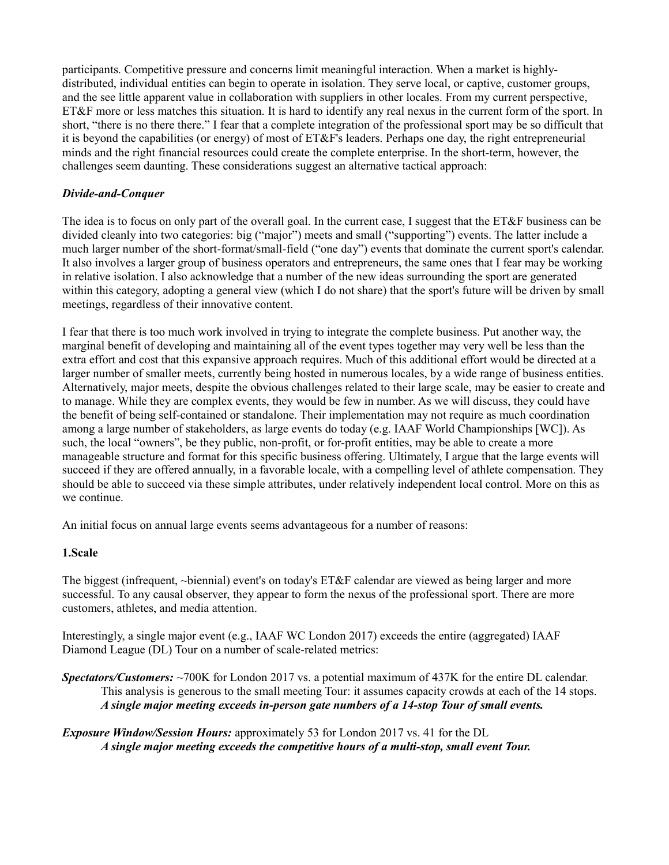participants. Competitive pressure and concerns limit meaningful interaction. When a market is highlydistributed, individual entities can begin to operate in isolation. They serve local, or captive, customer groups, and the see little apparent value in collaboration with suppliers in other locales. From my current perspective, ET&F more or less matches this situation. It is hard to identify any real nexus in the current form of the sport. In short, "there is no there there." I fear that a complete integration of the professional sport may be so difficult that it is beyond the capabilities (or energy) of most of ET&F's leaders. Perhaps one day, the right entrepreneurial minds and the right financial resources could create the complete enterprise. In the short-term, however, the challenges seem daunting. These considerations suggest an alternative tactical approach:

# *Divide-and-Conquer*

The idea is to focus on only part of the overall goal. In the current case, I suggest that the ET&F business can be divided cleanly into two categories: big ("major") meets and small ("supporting") events. The latter include a much larger number of the short-format/small-field ("one day") events that dominate the current sport's calendar. It also involves a larger group of business operators and entrepreneurs, the same ones that I fear may be working in relative isolation. I also acknowledge that a number of the new ideas surrounding the sport are generated within this category, adopting a general view (which I do not share) that the sport's future will be driven by small meetings, regardless of their innovative content.

I fear that there is too much work involved in trying to integrate the complete business. Put another way, the marginal benefit of developing and maintaining all of the event types together may very well be less than the extra effort and cost that this expansive approach requires. Much of this additional effort would be directed at a larger number of smaller meets, currently being hosted in numerous locales, by a wide range of business entities. Alternatively, major meets, despite the obvious challenges related to their large scale, may be easier to create and to manage. While they are complex events, they would be few in number. As we will discuss, they could have the benefit of being self-contained or standalone. Their implementation may not require as much coordination among a large number of stakeholders, as large events do today (e.g. IAAF World Championships [WC]). As such, the local "owners", be they public, non-profit, or for-profit entities, may be able to create a more manageable structure and format for this specific business offering. Ultimately, I argue that the large events will succeed if they are offered annually, in a favorable locale, with a compelling level of athlete compensation. They should be able to succeed via these simple attributes, under relatively independent local control. More on this as we continue.

An initial focus on annual large events seems advantageous for a number of reasons:

#### **1.Scale**

The biggest (infrequent, ~biennial) event's on today's ET&F calendar are viewed as being larger and more successful. To any causal observer, they appear to form the nexus of the professional sport. There are more customers, athletes, and media attention.

Interestingly, a single major event (e.g., IAAF WC London 2017) exceeds the entire (aggregated) IAAF Diamond League (DL) Tour on a number of scale-related metrics:

*Spectators/Customers:* ~700K for London 2017 vs. a potential maximum of 437K for the entire DL calendar. This analysis is generous to the small meeting Tour: it assumes capacity crowds at each of the 14 stops. *A single major meeting exceeds in-person gate numbers of a 14-stop Tour of small events.*

*Exposure Window/Session Hours:* approximately 53 for London 2017 vs. 41 for the DL *A single major meeting exceeds the competitive hours of a multi-stop, small event Tour.*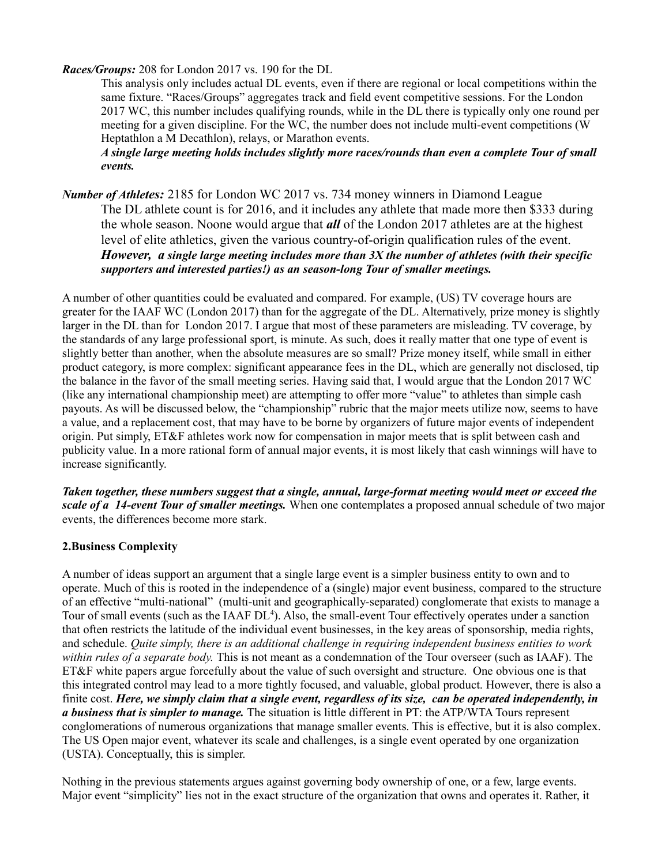# *Races/Groups:* 208 for London 2017 vs. 190 for the DL

This analysis only includes actual DL events, even if there are regional or local competitions within the same fixture. "Races/Groups" aggregates track and field event competitive sessions. For the London 2017 WC, this number includes qualifying rounds, while in the DL there is typically only one round per meeting for a given discipline. For the WC, the number does not include multi-event competitions (W Heptathlon a M Decathlon), relays, or Marathon events.

*A single large meeting holds includes slightly more races/rounds than even a complete Tour of small events.*

*Number of Athletes:* 2185 for London WC 2017 vs. 734 money winners in Diamond League The DL athlete count is for 2016, and it includes any athlete that made more then \$333 during the whole season. Noone would argue that *all* of the London 2017 athletes are at the highest level of elite athletics, given the various country-of-origin qualification rules of the event. *However, a single large meeting includes more than 3X the number of athletes (with their specific supporters and interested parties!) as an season-long Tour of smaller meetings.*

A number of other quantities could be evaluated and compared. For example, (US) TV coverage hours are greater for the IAAF WC (London 2017) than for the aggregate of the DL. Alternatively, prize money is slightly larger in the DL than for London 2017. I argue that most of these parameters are misleading. TV coverage, by the standards of any large professional sport, is minute. As such, does it really matter that one type of event is slightly better than another, when the absolute measures are so small? Prize money itself, while small in either product category, is more complex: significant appearance fees in the DL, which are generally not disclosed, tip the balance in the favor of the small meeting series. Having said that, I would argue that the London 2017 WC (like any international championship meet) are attempting to offer more "value" to athletes than simple cash payouts. As will be discussed below, the "championship" rubric that the major meets utilize now, seems to have a value, and a replacement cost, that may have to be borne by organizers of future major events of independent origin. Put simply, ET&F athletes work now for compensation in major meets that is split between cash and publicity value. In a more rational form of annual major events, it is most likely that cash winnings will have to increase significantly.

*Taken together, these numbers suggest that a single, annual, large-format meeting would meet or exceed the scale of a 14-event Tour of smaller meetings.* When one contemplates a proposed annual schedule of two major events, the differences become more stark.

# **2.Business Complexity**

A number of ideas support an argument that a single large event is a simpler business entity to own and to operate. Much of this is rooted in the independence of a (single) major event business, compared to the structure of an effective "multi-national" (multi-unit and geographically-separated) conglomerate that exists to manage a Tour of small events (such as the IAAF DL<sup>[4](#page-7-3)</sup>). Also, the small-event Tour effectively operates under a sanction that often restricts the latitude of the individual event businesses, in the key areas of sponsorship, media rights, and schedule. *Quite simply, there is an additional challenge in requiring independent business entities to work within rules of a separate body.* This is not meant as a condemnation of the Tour overseer (such as IAAF). The ET&F white papers argue forcefully about the value of such oversight and structure. One obvious one is that this integrated control may lead to a more tightly focused, and valuable, global product. However, there is also a finite cost. *Here, we simply claim that a single event, regardless of its size, can be operated independently, in a business that is simpler to manage.* The situation is little different in PT: the ATP/WTA Tours represent conglomerations of numerous organizations that manage smaller events. This is effective, but it is also complex. The US Open major event, whatever its scale and challenges, is a single event operated by one organization (USTA). Conceptually, this is simpler.

Nothing in the previous statements argues against governing body ownership of one, or a few, large events. Major event "simplicity" lies not in the exact structure of the organization that owns and operates it. Rather, it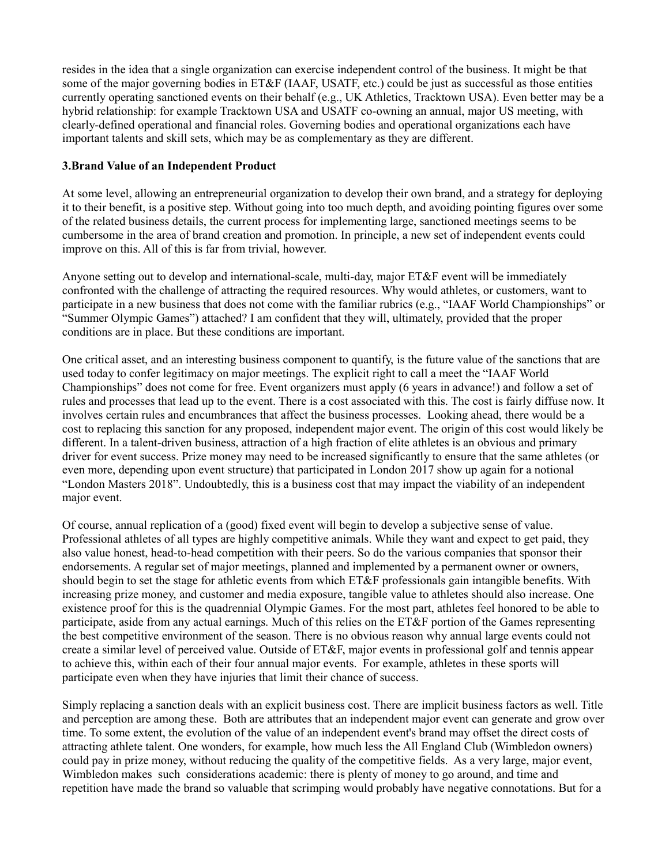resides in the idea that a single organization can exercise independent control of the business. It might be that some of the major governing bodies in ET&F (IAAF, USATF, etc.) could be just as successful as those entities currently operating sanctioned events on their behalf (e.g., UK Athletics, Tracktown USA). Even better may be a hybrid relationship: for example Tracktown USA and USATF co-owning an annual, major US meeting, with clearly-defined operational and financial roles. Governing bodies and operational organizations each have important talents and skill sets, which may be as complementary as they are different.

# **3.Brand Value of an Independent Product**

At some level, allowing an entrepreneurial organization to develop their own brand, and a strategy for deploying it to their benefit, is a positive step. Without going into too much depth, and avoiding pointing figures over some of the related business details, the current process for implementing large, sanctioned meetings seems to be cumbersome in the area of brand creation and promotion. In principle, a new set of independent events could improve on this. All of this is far from trivial, however.

Anyone setting out to develop and international-scale, multi-day, major ET&F event will be immediately confronted with the challenge of attracting the required resources. Why would athletes, or customers, want to participate in a new business that does not come with the familiar rubrics (e.g., "IAAF World Championships" or "Summer Olympic Games") attached? I am confident that they will, ultimately, provided that the proper conditions are in place. But these conditions are important.

One critical asset, and an interesting business component to quantify, is the future value of the sanctions that are used today to confer legitimacy on major meetings. The explicit right to call a meet the "IAAF World Championships" does not come for free. Event organizers must apply (6 years in advance!) and follow a set of rules and processes that lead up to the event. There is a cost associated with this. The cost is fairly diffuse now. It involves certain rules and encumbrances that affect the business processes. Looking ahead, there would be a cost to replacing this sanction for any proposed, independent major event. The origin of this cost would likely be different. In a talent-driven business, attraction of a high fraction of elite athletes is an obvious and primary driver for event success. Prize money may need to be increased significantly to ensure that the same athletes (or even more, depending upon event structure) that participated in London 2017 show up again for a notional "London Masters 2018". Undoubtedly, this is a business cost that may impact the viability of an independent major event.

Of course, annual replication of a (good) fixed event will begin to develop a subjective sense of value. Professional athletes of all types are highly competitive animals. While they want and expect to get paid, they also value honest, head-to-head competition with their peers. So do the various companies that sponsor their endorsements. A regular set of major meetings, planned and implemented by a permanent owner or owners, should begin to set the stage for athletic events from which ET&F professionals gain intangible benefits. With increasing prize money, and customer and media exposure, tangible value to athletes should also increase. One existence proof for this is the quadrennial Olympic Games. For the most part, athletes feel honored to be able to participate, aside from any actual earnings. Much of this relies on the ET&F portion of the Games representing the best competitive environment of the season. There is no obvious reason why annual large events could not create a similar level of perceived value. Outside of ET&F, major events in professional golf and tennis appear to achieve this, within each of their four annual major events. For example, athletes in these sports will participate even when they have injuries that limit their chance of success.

Simply replacing a sanction deals with an explicit business cost. There are implicit business factors as well. Title and perception are among these. Both are attributes that an independent major event can generate and grow over time. To some extent, the evolution of the value of an independent event's brand may offset the direct costs of attracting athlete talent. One wonders, for example, how much less the All England Club (Wimbledon owners) could pay in prize money, without reducing the quality of the competitive fields. As a very large, major event, Wimbledon makes such considerations academic: there is plenty of money to go around, and time and repetition have made the brand so valuable that scrimping would probably have negative connotations. But for a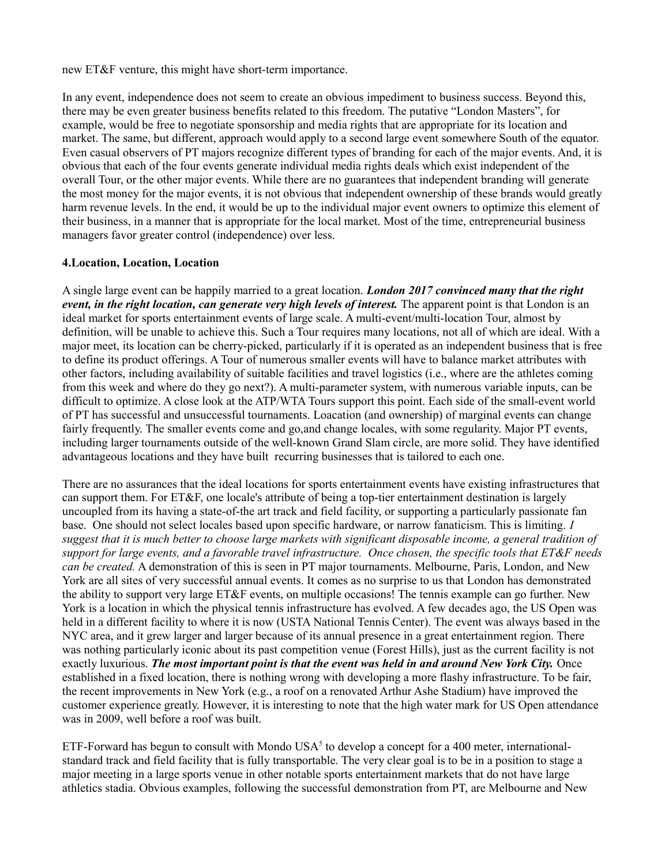new ET&F venture, this might have short-term importance.

In any event, independence does not seem to create an obvious impediment to business success. Beyond this, there may be even greater business benefits related to this freedom. The putative "London Masters", for example, would be free to negotiate sponsorship and media rights that are appropriate for its location and market. The same, but different, approach would apply to a second large event somewhere South of the equator. Even casual observers of PT majors recognize different types of branding for each of the major events. And, it is obvious that each of the four events generate individual media rights deals which exist independent of the overall Tour, or the other major events. While there are no guarantees that independent branding will generate the most money for the major events, it is not obvious that independent ownership of these brands would greatly harm revenue levels. In the end, it would be up to the individual major event owners to optimize this element of their business, in a manner that is appropriate for the local market. Most of the time, entrepreneurial business managers favor greater control (independence) over less.

#### **4.Location, Location, Location**

A single large event can be happily married to a great location. *London 2017 convinced many that the right event, in the right location, can generate very high levels of interest.* The apparent point is that London is an ideal market for sports entertainment events of large scale. A multi-event/multi-location Tour, almost by definition, will be unable to achieve this. Such a Tour requires many locations, not all of which are ideal. With a major meet, its location can be cherry-picked, particularly if it is operated as an independent business that is free to define its product offerings. A Tour of numerous smaller events will have to balance market attributes with other factors, including availability of suitable facilities and travel logistics (i.e., where are the athletes coming from this week and where do they go next?). A multi-parameter system, with numerous variable inputs, can be difficult to optimize. A close look at the ATP/WTA Tours support this point. Each side of the small-event world of PT has successful and unsuccessful tournaments. Loacation (and ownership) of marginal events can change fairly frequently. The smaller events come and go,and change locales, with some regularity. Major PT events, including larger tournaments outside of the well-known Grand Slam circle, are more solid. They have identified advantageous locations and they have built recurring businesses that is tailored to each one.

There are no assurances that the ideal locations for sports entertainment events have existing infrastructures that can support them. For ET&F, one locale's attribute of being a top-tier entertainment destination is largely uncoupled from its having a state-of-the art track and field facility, or supporting a particularly passionate fan base. One should not select locales based upon specific hardware, or narrow fanaticism. This is limiting. *I suggest that it is much better to choose large markets with significant disposable income, a general tradition of support for large events, and a favorable travel infrastructure. Once chosen, the specific tools that ET&F needs can be created.* A demonstration of this is seen in PT major tournaments. Melbourne, Paris, London, and New York are all sites of very successful annual events. It comes as no surprise to us that London has demonstrated the ability to support very large ET&F events, on multiple occasions! The tennis example can go further. New York is a location in which the physical tennis infrastructure has evolved. A few decades ago, the US Open was held in a different facility to where it is now (USTA National Tennis Center). The event was always based in the NYC area, and it grew larger and larger because of its annual presence in a great entertainment region. There was nothing particularly iconic about its past competition venue (Forest Hills), just as the current facility is not exactly luxurious. *The most important point is that the event was held in and around New York City.* Once established in a fixed location, there is nothing wrong with developing a more flashy infrastructure. To be fair, the recent improvements in New York (e.g., a roof on a renovated Arthur Ashe Stadium) have improved the customer experience greatly. However, it is interesting to note that the high water mark for US Open attendance was in 2009, well before a roof was built.

ETF-Forward has begun to consult with Mondo  $USA<sup>5</sup>$  $USA<sup>5</sup>$  $USA<sup>5</sup>$  to develop a concept for a 400 meter, internationalstandard track and field facility that is fully transportable. The very clear goal is to be in a position to stage a major meeting in a large sports venue in other notable sports entertainment markets that do not have large athletics stadia. Obvious examples, following the successful demonstration from PT, are Melbourne and New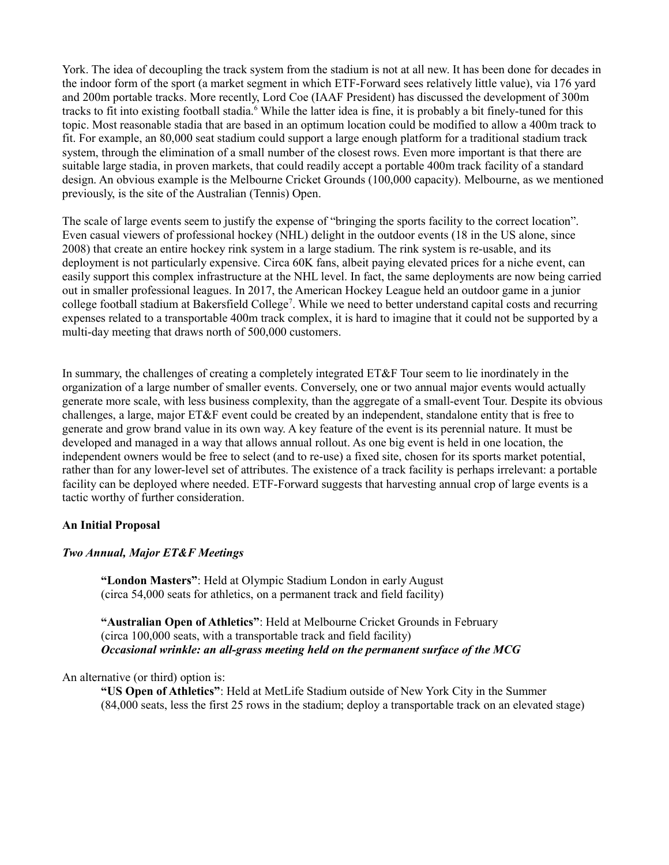York. The idea of decoupling the track system from the stadium is not at all new. It has been done for decades in the indoor form of the sport (a market segment in which ETF-Forward sees relatively little value), via 176 yard and 200m portable tracks. More recently, Lord Coe (IAAF President) has discussed the development of 300m tracks to fit into existing football stadia.<sup>[6](#page-7-5)</sup> While the latter idea is fine, it is probably a bit finely-tuned for this topic. Most reasonable stadia that are based in an optimum location could be modified to allow a 400m track to fit. For example, an 80,000 seat stadium could support a large enough platform for a traditional stadium track system, through the elimination of a small number of the closest rows. Even more important is that there are suitable large stadia, in proven markets, that could readily accept a portable 400m track facility of a standard design. An obvious example is the Melbourne Cricket Grounds (100,000 capacity). Melbourne, as we mentioned previously, is the site of the Australian (Tennis) Open.

The scale of large events seem to justify the expense of "bringing the sports facility to the correct location". Even casual viewers of professional hockey (NHL) delight in the outdoor events (18 in the US alone, since 2008) that create an entire hockey rink system in a large stadium. The rink system is re-usable, and its deployment is not particularly expensive. Circa 60K fans, albeit paying elevated prices for a niche event, can easily support this complex infrastructure at the NHL level. In fact, the same deployments are now being carried out in smaller professional leagues. In 2017, the American Hockey League held an outdoor game in a junior college football stadium at Bakersfield College<sup>[7](#page-7-6)</sup>. While we need to better understand capital costs and recurring expenses related to a transportable 400m track complex, it is hard to imagine that it could not be supported by a multi-day meeting that draws north of 500,000 customers.

In summary, the challenges of creating a completely integrated ET&F Tour seem to lie inordinately in the organization of a large number of smaller events. Conversely, one or two annual major events would actually generate more scale, with less business complexity, than the aggregate of a small-event Tour. Despite its obvious challenges, a large, major ET&F event could be created by an independent, standalone entity that is free to generate and grow brand value in its own way. A key feature of the event is its perennial nature. It must be developed and managed in a way that allows annual rollout. As one big event is held in one location, the independent owners would be free to select (and to re-use) a fixed site, chosen for its sports market potential, rather than for any lower-level set of attributes. The existence of a track facility is perhaps irrelevant: a portable facility can be deployed where needed. ETF-Forward suggests that harvesting annual crop of large events is a tactic worthy of further consideration.

#### **An Initial Proposal**

#### *Two Annual, Major ET&F Meetings*

**"London Masters"**: Held at Olympic Stadium London in early August (circa 54,000 seats for athletics, on a permanent track and field facility)

**"Australian Open of Athletics"**: Held at Melbourne Cricket Grounds in February (circa 100,000 seats, with a transportable track and field facility) *Occasional wrinkle: an all-grass meeting held on the permanent surface of the MCG*

An alternative (or third) option is:

**"US Open of Athletics"**: Held at MetLife Stadium outside of New York City in the Summer (84,000 seats, less the first 25 rows in the stadium; deploy a transportable track on an elevated stage)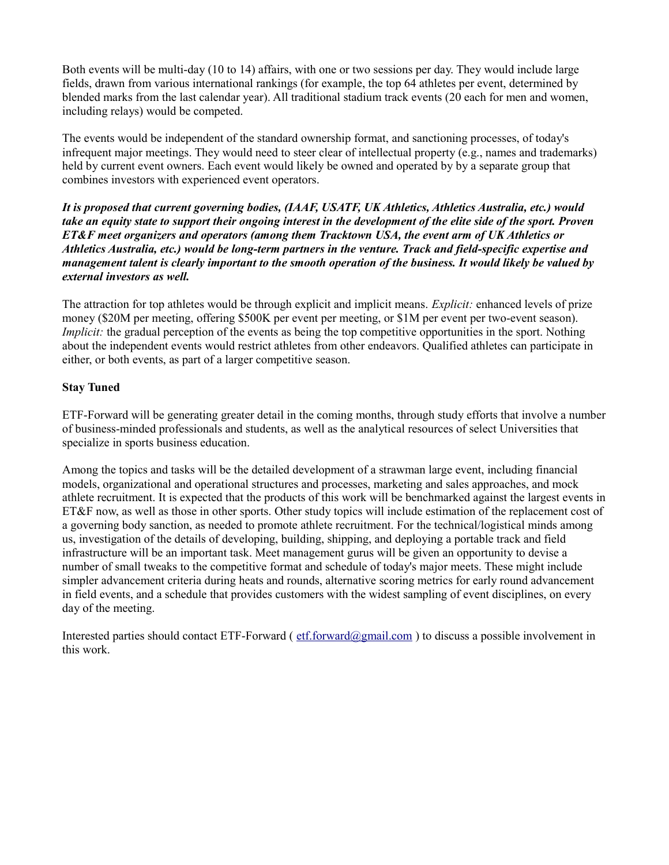Both events will be multi-day (10 to 14) affairs, with one or two sessions per day. They would include large fields, drawn from various international rankings (for example, the top 64 athletes per event, determined by blended marks from the last calendar year). All traditional stadium track events (20 each for men and women, including relays) would be competed.

The events would be independent of the standard ownership format, and sanctioning processes, of today's infrequent major meetings. They would need to steer clear of intellectual property (e.g., names and trademarks) held by current event owners. Each event would likely be owned and operated by by a separate group that combines investors with experienced event operators.

*It is proposed that current governing bodies, (IAAF, USATF, UK Athletics, Athletics Australia, etc.) would take an equity state to support their ongoing interest in the development of the elite side of the sport. Proven ET&F meet organizers and operators (among them Tracktown USA, the event arm of UK Athletics or Athletics Australia, etc.) would be long-term partners in the venture. Track and field-specific expertise and management talent is clearly important to the smooth operation of the business. It would likely be valued by external investors as well.* 

The attraction for top athletes would be through explicit and implicit means. *Explicit:* enhanced levels of prize money (\$20M per meeting, offering \$500K per event per meeting, or \$1M per event per two-event season). *Implicit:* the gradual perception of the events as being the top competitive opportunities in the sport. Nothing about the independent events would restrict athletes from other endeavors. Qualified athletes can participate in either, or both events, as part of a larger competitive season.

# **Stay Tuned**

ETF-Forward will be generating greater detail in the coming months, through study efforts that involve a number of business-minded professionals and students, as well as the analytical resources of select Universities that specialize in sports business education.

Among the topics and tasks will be the detailed development of a strawman large event, including financial models, organizational and operational structures and processes, marketing and sales approaches, and mock athlete recruitment. It is expected that the products of this work will be benchmarked against the largest events in ET&F now, as well as those in other sports. Other study topics will include estimation of the replacement cost of a governing body sanction, as needed to promote athlete recruitment. For the technical/logistical minds among us, investigation of the details of developing, building, shipping, and deploying a portable track and field infrastructure will be an important task. Meet management gurus will be given an opportunity to devise a number of small tweaks to the competitive format and schedule of today's major meets. These might include simpler advancement criteria during heats and rounds, alternative scoring metrics for early round advancement in field events, and a schedule that provides customers with the widest sampling of event disciplines, on every day of the meeting.

Interested parties should contact ETF-Forward (etf.forward@gmail.com) to discuss a possible involvement in this work.